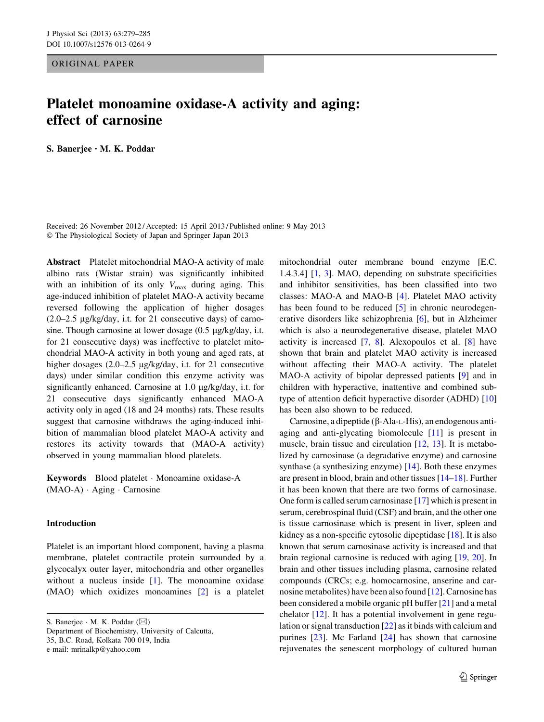ORIGINAL PAPER

# Platelet monoamine oxidase-A activity and aging: effect of carnosine

S. Banerjee • M. K. Poddar

Received: 26 November 2012 / Accepted: 15 April 2013 / Published online: 9 May 2013  $©$  The Physiological Society of Japan and Springer Japan 2013

Abstract Platelet mitochondrial MAO-A activity of male albino rats (Wistar strain) was significantly inhibited with an inhibition of its only  $V_{\text{max}}$  during aging. This age-induced inhibition of platelet MAO-A activity became reversed following the application of higher dosages  $(2.0-2.5 \mu g/kg/day, i.t.$  for 21 consecutive days) of carnosine. Though carnosine at lower dosage  $(0.5 \mu g/kg/day)$ , i.t. for 21 consecutive days) was ineffective to platelet mitochondrial MAO-A activity in both young and aged rats, at higher dosages  $(2.0-2.5 \text{ µg/kg/day}, \text{ i.t. for } 21 \text{ consecutive})$ days) under similar condition this enzyme activity was significantly enhanced. Carnosine at  $1.0 \mu g/kg/day$ , i.t. for 21 consecutive days significantly enhanced MAO-A activity only in aged (18 and 24 months) rats. These results suggest that carnosine withdraws the aging-induced inhibition of mammalian blood platelet MAO-A activity and restores its activity towards that (MAO-A activity) observed in young mammalian blood platelets.

Keywords Blood platelet - Monoamine oxidase-A (MAO-A) - Aging - Carnosine

## Introduction

Platelet is an important blood component, having a plasma membrane, platelet contractile protein surrounded by a glycocalyx outer layer, mitochondria and other organelles without a nucleus inside [\[1](#page-5-0)]. The monoamine oxidase (MAO) which oxidizes monoamines [[2\]](#page-5-0) is a platelet

S. Banerjee · M. K. Poddar ( $\boxtimes$ ) Department of Biochemistry, University of Calcutta, 35, B.C. Road, Kolkata 700 019, India e-mail: mrinalkp@yahoo.com

mitochondrial outer membrane bound enzyme [E.C. 1.4.3.4] [[1,](#page-5-0) [3](#page-5-0)]. MAO, depending on substrate specificities and inhibitor sensitivities, has been classified into two classes: MAO-A and MAO-B [[4\]](#page-5-0). Platelet MAO activity has been found to be reduced [[5\]](#page-5-0) in chronic neurodegenerative disorders like schizophrenia [\[6](#page-5-0)], but in Alzheimer which is also a neurodegenerative disease, platelet MAO activity is increased [\[7](#page-5-0), [8\]](#page-5-0). Alexopoulos et al. [\[8](#page-5-0)] have shown that brain and platelet MAO activity is increased without affecting their MAO-A activity. The platelet MAO-A activity of bipolar depressed patients [\[9](#page-5-0)] and in children with hyperactive, inattentive and combined subtype of attention deficit hyperactive disorder (ADHD) [[10\]](#page-5-0) has been also shown to be reduced.

Carnosine, a dipeptide  $(\beta$ -Ala-L-His), an endogenous antiaging and anti-glycating biomolecule [\[11](#page-5-0)] is present in muscle, brain tissue and circulation [\[12](#page-5-0), [13](#page-5-0)]. It is metabolized by carnosinase (a degradative enzyme) and carnosine synthase (a synthesizing enzyme) [\[14\]](#page-5-0). Both these enzymes are present in blood, brain and other tissues [\[14–18](#page-5-0)]. Further it has been known that there are two forms of carnosinase. One form is called serum carnosinase [[17\]](#page-5-0) which is present in serum, cerebrospinal fluid (CSF) and brain, and the other one is tissue carnosinase which is present in liver, spleen and kidney as a non-specific cytosolic dipeptidase [\[18](#page-5-0)]. It is also known that serum carnosinase activity is increased and that brain regional carnosine is reduced with aging [\[19](#page-5-0), [20](#page-5-0)]. In brain and other tissues including plasma, carnosine related compounds (CRCs; e.g. homocarnosine, anserine and carnosine metabolites) have been also found [[12\]](#page-5-0). Carnosine has been considered a mobile organic pH buffer [[21\]](#page-5-0) and a metal chelator [\[12](#page-5-0)]. It has a potential involvement in gene regulation or signal transduction [[22\]](#page-5-0) as it binds with calcium and purines  $[23]$  $[23]$ . Mc Farland  $[24]$  $[24]$  has shown that carnosine rejuvenates the senescent morphology of cultured human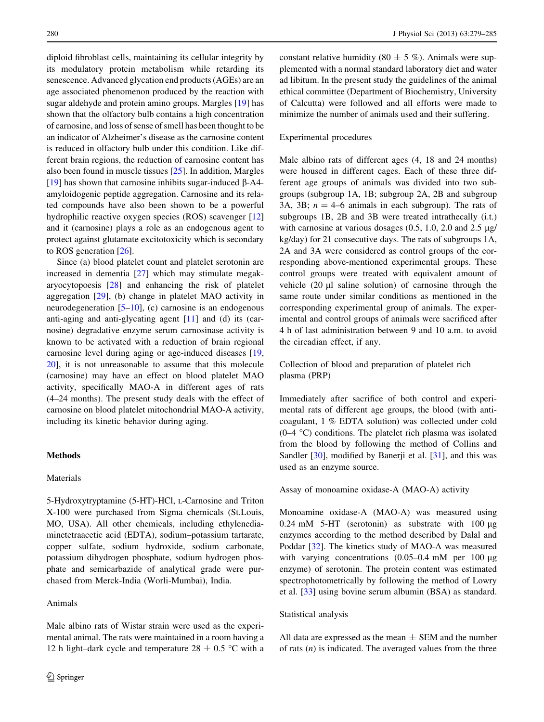diploid fibroblast cells, maintaining its cellular integrity by its modulatory protein metabolism while retarding its senescence. Advanced glycation end products (AGEs) are an age associated phenomenon produced by the reaction with sugar aldehyde and protein amino groups. Margles [\[19\]](#page-5-0) has shown that the olfactory bulb contains a high concentration of carnosine, and loss of sense of smell has been thought to be an indicator of Alzheimer's disease as the carnosine content is reduced in olfactory bulb under this condition. Like different brain regions, the reduction of carnosine content has also been found in muscle tissues [[25\]](#page-5-0). In addition, Margles [\[19](#page-5-0)] has shown that carnosine inhibits sugar-induced  $\beta$ -A4amyloidogenic peptide aggregation. Carnosine and its related compounds have also been shown to be a powerful hydrophilic reactive oxygen species (ROS) scavenger [[12\]](#page-5-0) and it (carnosine) plays a role as an endogenous agent to protect against glutamate excitotoxicity which is secondary to ROS generation [\[26](#page-5-0)].

Since (a) blood platelet count and platelet serotonin are increased in dementia [[27\]](#page-5-0) which may stimulate megakaryocytopoesis [\[28](#page-5-0)] and enhancing the risk of platelet aggregation [[29\]](#page-5-0), (b) change in platelet MAO activity in neurodegeneration  $[5–10]$  $[5–10]$ , (c) carnosine is an endogenous anti-aging and anti-glycating agent [\[11](#page-5-0)] and (d) its (carnosine) degradative enzyme serum carnosinase activity is known to be activated with a reduction of brain regional carnosine level during aging or age-induced diseases [[19,](#page-5-0) [20\]](#page-5-0), it is not unreasonable to assume that this molecule (carnosine) may have an effect on blood platelet MAO activity, specifically MAO-A in different ages of rats (4–24 months). The present study deals with the effect of carnosine on blood platelet mitochondrial MAO-A activity, including its kinetic behavior during aging.

## **Methods**

## Materials

5-Hydroxytryptamine (5-HT)-HCl, <sup>L</sup>-Carnosine and Triton X-100 were purchased from Sigma chemicals (St.Louis, MO, USA). All other chemicals, including ethylenediaminetetraacetic acid (EDTA), sodium–potassium tartarate, copper sulfate, sodium hydroxide, sodium carbonate, potassium dihydrogen phosphate, sodium hydrogen phosphate and semicarbazide of analytical grade were purchased from Merck-India (Worli-Mumbai), India.

## Animals

Male albino rats of Wistar strain were used as the experimental animal. The rats were maintained in a room having a 12 h light–dark cycle and temperature  $28 \pm 0.5$  °C with a constant relative humidity (80  $\pm$  5 %). Animals were supplemented with a normal standard laboratory diet and water ad libitum. In the present study the guidelines of the animal ethical committee (Department of Biochemistry, University of Calcutta) were followed and all efforts were made to minimize the number of animals used and their suffering.

#### Experimental procedures

Male albino rats of different ages (4, 18 and 24 months) were housed in different cages. Each of these three different age groups of animals was divided into two subgroups (subgroup 1A, 1B; subgroup 2A, 2B and subgroup 3A, 3B;  $n = 4-6$  animals in each subgroup). The rats of subgroups 1B, 2B and 3B were treated intrathecally (i.t.) with carnosine at various dosages  $(0.5, 1.0, 2.0, 2.0)$  and  $2.5 \mu$ g/ kg/day) for 21 consecutive days. The rats of subgroups 1A, 2A and 3A were considered as control groups of the corresponding above-mentioned experimental groups. These control groups were treated with equivalent amount of vehicle  $(20 \mu l)$  saline solution) of carnosine through the same route under similar conditions as mentioned in the corresponding experimental group of animals. The experimental and control groups of animals were sacrificed after 4 h of last administration between 9 and 10 a.m. to avoid the circadian effect, if any.

Collection of blood and preparation of platelet rich plasma (PRP)

Immediately after sacrifice of both control and experimental rats of different age groups, the blood (with anticoagulant, 1 % EDTA solution) was collected under cold  $(0-4 \degree C)$  conditions. The platelet rich plasma was isolated from the blood by following the method of Collins and Sandler [\[30](#page-5-0)], modified by Banerji et al. [\[31](#page-5-0)], and this was used as an enzyme source.

#### Assay of monoamine oxidase-A (MAO-A) activity

Monoamine oxidase-A (MAO-A) was measured using 0.24 mM  $5-HT$  (serotonin) as substrate with 100  $\mu$ g enzymes according to the method described by Dalal and Poddar [\[32](#page-5-0)]. The kinetics study of MAO-A was measured with varying concentrations  $(0.05-0.4 \text{ mM})$  per 100 µg enzyme) of serotonin. The protein content was estimated spectrophotometrically by following the method of Lowry et al. [[33\]](#page-5-0) using bovine serum albumin (BSA) as standard.

#### Statistical analysis

All data are expressed as the mean  $\pm$  SEM and the number of rats  $(n)$  is indicated. The averaged values from the three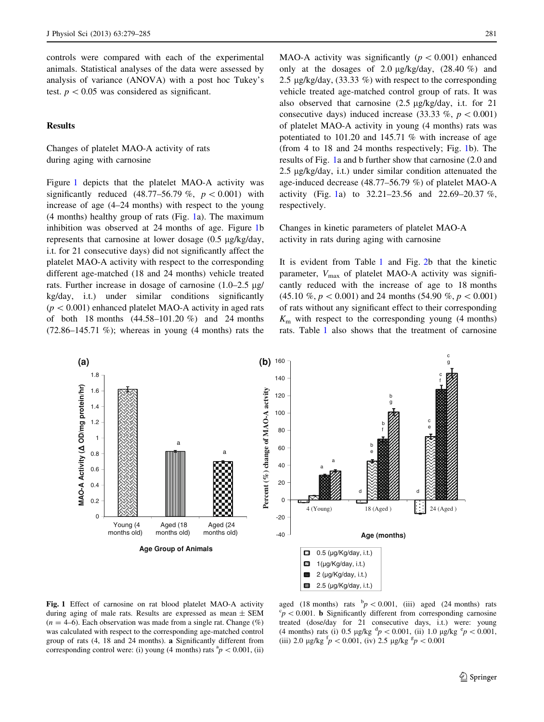<span id="page-2-0"></span>controls were compared with each of the experimental animals. Statistical analyses of the data were assessed by analysis of variance (ANOVA) with a post hoc Tukey's test.  $p < 0.05$  was considered as significant.

## **Results**

Changes of platelet MAO-A activity of rats during aging with carnosine

Figure 1 depicts that the platelet MAO-A activity was significantly reduced  $(48.77-56.79\% , p < 0.001)$  with increase of age (4–24 months) with respect to the young (4 months) healthy group of rats (Fig. 1a). The maximum inhibition was observed at 24 months of age. Figure 1b represents that carnosine at lower dosage  $(0.5 \text{ µg/kg/day})$ , i.t. for 21 consecutive days) did not significantly affect the platelet MAO-A activity with respect to the corresponding different age-matched (18 and 24 months) vehicle treated rats. Further increase in dosage of carnosine  $(1.0-2.5 \text{ µg})$ kg/day, i.t.) under similar conditions significantly  $(p<0.001)$  enhanced platelet MAO-A activity in aged rats of both 18 months (44.58–101.20 %) and 24 months  $(72.86-145.71 \%)$ ; whereas in young  $(4 \text{ months})$  rats the MAO-A activity was significantly  $(p<0.001)$  enhanced only at the dosages of 2.0  $\mu$ g/kg/day, (28.40 %) and 2.5  $\mu$ g/kg/day, (33.33 %) with respect to the corresponding vehicle treated age-matched control group of rats. It was also observed that carnosine  $(2.5 \text{ µg/kg}/\text{day})$ , i.t. for 21 consecutive days) induced increase (33.33 %,  $p < 0.001$ ) of platelet MAO-A activity in young (4 months) rats was potentiated to 101.20 and 145.71 % with increase of age (from 4 to 18 and 24 months respectively; Fig. 1b). The results of Fig. 1a and b further show that carnosine (2.0 and 2.5  $\mu$ g/kg/day, i.t.) under similar condition attenuated the age-induced decrease (48.77–56.79 %) of platelet MAO-A activity (Fig. 1a) to 32.21–23.56 and 22.69–20.37 %, respectively.

Changes in kinetic parameters of platelet MAO-A activity in rats during aging with carnosine

It is evident from Table [1](#page-3-0) and Fig. [2b](#page-3-0) that the kinetic parameter,  $V_{\text{max}}$  of platelet MAO-A activity was significantly reduced with the increase of age to 18 months  $(45.10 \% , p < 0.001)$  and 24 months (54.90 %,  $p < 0.001$ ) of rats without any significant effect to their corresponding  $K<sub>m</sub>$  with respect to the corresponding young (4 months) rats. Table [1](#page-3-0) also shows that the treatment of carnosine



33 2.5 (µg/Kg/day, i.t.)

Fig. 1 Effect of carnosine on rat blood platelet MAO-A activity during aging of male rats. Results are expressed as mean  $\pm$  SEM  $(n = 4-6)$ . Each observation was made from a single rat. Change  $(\%)$ was calculated with respect to the corresponding age-matched control group of rats (4, 18 and 24 months). a Significantly different from corresponding control were: (i) young (4 months) rats  ${}^{a}p$  < 0.001, (ii)

aged (18 months) rats  $\frac{b}{p}$  < 0.001, (iii) aged (24 months) rats  $c_p < 0.001$ . **b** Significantly different from corresponding carnosine treated (dose/day for 21 consecutive days, i.t.) were: young (4 months) rats (i) 0.5  $\mu$ g/kg <sup>d</sup> $p < 0.001$ , (ii) 1.0  $\mu$ g/kg <sup>e</sup> $p < 0.001$ , (iii) 2.0  $\mu$ g/kg  $\frac{f}{p}$  < 0.001, (iv) 2.5  $\mu$ g/kg  $\frac{g}{p}$  < 0.001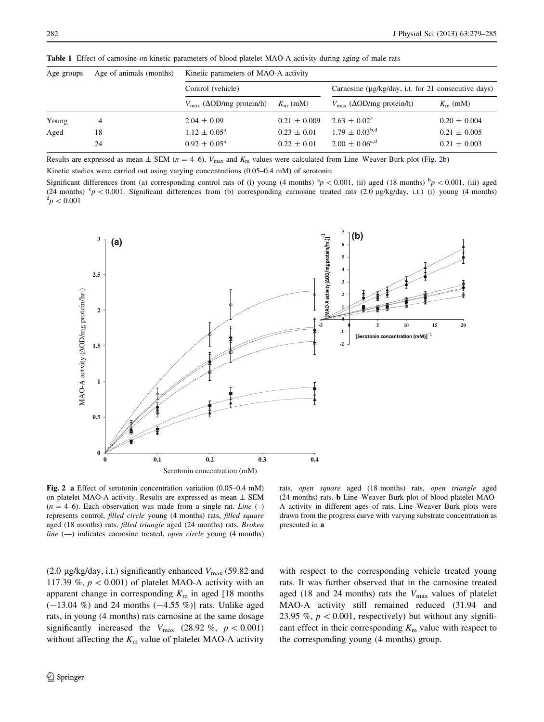| Age groups | Age of animals (months) | Kinetic parameters of MAO-A activity         |                  |                                                     |                  |
|------------|-------------------------|----------------------------------------------|------------------|-----------------------------------------------------|------------------|
|            |                         | Control (vehicle)                            |                  | Carnosine (µg/kg/day, i.t. for 21 consecutive days) |                  |
|            |                         | $V_{\text{max}}$ ( $\Delta$ OD/mg protein/h) | $K_{\rm m}$ (mM) | $V_{\text{max}}$ ( $\Delta$ OD/mg protein/h)        | $K_{\rm m}$ (mM) |
| Young      | 4                       | $2.04 \pm 0.09$                              | $0.21 \pm 0.009$ | $2.63 \pm 0.02^{\circ}$                             | $0.20 \pm 0.004$ |
| Aged       | 18                      | $1.12 \pm 0.05^{\text{a}}$                   | $0.23 \pm 0.01$  | $1.79 \pm 0.03^{b,d}$                               | $0.21 \pm 0.005$ |
|            | 24                      | $0.92 \pm 0.05^{\rm a}$                      | $0.22 \pm 0.01$  | $2.00 \pm 0.06^{\text{c,d}}$                        | $0.21 \pm 0.003$ |

<span id="page-3-0"></span>Table 1 Effect of carnosine on kinetic parameters of blood platelet MAO-A activity during aging of male rats

Results are expressed as mean  $\pm$  SEM (n = 4–6).  $V_{\text{max}}$  and  $K_{\text{m}}$  values were calculated from Line–Weaver Burk plot (Fig. 2b) Kinetic studies were carried out using varying concentrations (0.05–0.4 mM) of serotonin

Significant differences from (a) corresponding control rats of (i) young (4 months)  ${}^{\text{a}}p < 0.001$ , (ii) aged (18 months)  ${}^{\text{b}}p < 0.001$ , (iii) aged (24 months)  $c_p < 0.001$ . Significant differences from (b) corresponding carnosine treated rats (2.0 µg/kg/day, i.t.) (i) young (4 months)  $\mathrm{d} \rho < 0.001$ 



Fig. 2 a Effect of serotonin concentration variation (0.05–0.4 mM) on platelet MAO-A activity. Results are expressed as mean  $\pm$  SEM  $(n = 4-6)$ . Each observation was made from a single rat. Line  $(-)$ represents control, filled circle young (4 months) rats, filled square aged (18 months) rats, filled triangle aged (24 months) rats. Broken line  $(-)$  indicates carnosine treated, *open circle* young  $(4$  months)

rats, open square aged (18 months) rats, open triangle aged (24 months) rats. b Line–Weaver Burk plot of blood platelet MAO-A activity in different ages of rats. Line–Weaver Burk plots were drawn from the progress curve with varying substrate concentration as presented in a

(2.0 µg/kg/day, i.t.) significantly enhanced  $V_{\text{max}}$  (59.82 and 117.39 %,  $p < 0.001$ ) of platelet MAO-A activity with an apparent change in corresponding  $K<sub>m</sub>$  in aged [18 months  $(-13.04\%)$  and 24 months  $(-4.55\%)$  rats. Unlike aged rats, in young (4 months) rats carnosine at the same dosage significantly increased the  $V_{\text{max}}$  (28.92 %,  $p < 0.001$ ) without affecting the  $K<sub>m</sub>$  value of platelet MAO-A activity

with respect to the corresponding vehicle treated young rats. It was further observed that in the carnosine treated aged (18 and 24 months) rats the  $V_{\text{max}}$  values of platelet MAO-A activity still remained reduced (31.94 and 23.95 %,  $p < 0.001$ , respectively) but without any significant effect in their corresponding  $K<sub>m</sub>$  value with respect to the corresponding young (4 months) group.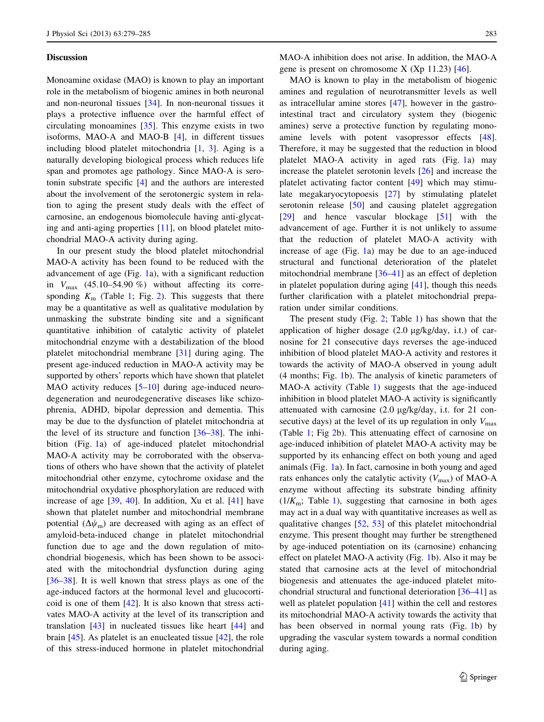#### **Discussion**

Monoamine oxidase (MAO) is known to play an important role in the metabolism of biogenic amines in both neuronal and non-neuronal tissues [[34\]](#page-5-0). In non-neuronal tissues it plays a protective influence over the harmful effect of circulating monoamines [\[35](#page-6-0)]. This enzyme exists in two isoforms, MAO-A and MAO-B [[4\]](#page-5-0), in different tissues including blood platelet mitochondria [\[1](#page-5-0), [3](#page-5-0)]. Aging is a naturally developing biological process which reduces life span and promotes age pathology. Since MAO-A is serotonin substrate specific [\[4](#page-5-0)] and the authors are interested about the involvement of the serotonergic system in relation to aging the present study deals with the effect of carnosine, an endogenous biomolecule having anti-glycating and anti-aging properties [[11\]](#page-5-0), on blood platelet mitochondrial MAO-A activity during aging.

In our present study the blood platelet mitochondrial MAO-A activity has been found to be reduced with the advancement of age (Fig. [1a](#page-2-0)), with a significant reduction in  $V_{\text{max}}$  (45.10–54.90 %) without affecting its corresponding  $K<sub>m</sub>$  (Table [1;](#page-3-0) Fig. [2\)](#page-3-0). This suggests that there may be a quantitative as well as qualitative modulation by unmasking the substrate binding site and a significant quantitative inhibition of catalytic activity of platelet mitochondrial enzyme with a destabilization of the blood platelet mitochondrial membrane [[31\]](#page-5-0) during aging. The present age-induced reduction in MAO-A activity may be supported by others' reports which have shown that platelet MAO activity reduces [\[5–10](#page-5-0)] during age-induced neurodegeneration and neurodegenerative diseases like schizophrenia, ADHD, bipolar depression and dementia. This may be due to the dysfunction of platelet mitochondria at the level of its structure and function  $[36-38]$ . The inhibition (Fig. [1](#page-2-0)a) of age-induced platelet mitochondrial MAO-A activity may be corroborated with the observations of others who have shown that the activity of platelet mitochondrial other enzyme, cytochrome oxidase and the mitochondrial oxydative phosphorylation are reduced with increase of age  $[39, 40]$  $[39, 40]$  $[39, 40]$ . In addition, Xu et al.  $[41]$  $[41]$  have shown that platelet number and mitochondrial membrane potential  $(\Delta\psi_m)$  are decreased with aging as an effect of amyloid-beta-induced change in platelet mitochondrial function due to age and the down regulation of mitochondrial biogenesis, which has been shown to be associated with the mitochondrial dysfunction during aging [\[36–38](#page-6-0)]. It is well known that stress plays as one of the age-induced factors at the hormonal level and glucocorticoid is one of them [\[42](#page-6-0)]. It is also known that stress activates MAO-A activity at the level of its transcription and translation [[43\]](#page-6-0) in nucleated tissues like heart [\[44](#page-6-0)] and brain  $[45]$  $[45]$ . As platelet is an enucleated tissue  $[42]$  $[42]$ , the role of this stress-induced hormone in platelet mitochondrial MAO-A inhibition does not arise. In addition, the MAO-A gene is present on chromosome  $X$  (Xp 11.23) [[46\]](#page-6-0).

MAO is known to play in the metabolism of biogenic amines and regulation of neurotransmitter levels as well as intracellular amine stores [\[47](#page-6-0)], however in the gastrointestinal tract and circulatory system they (biogenic amines) serve a protective function by regulating monoamine levels with potent vasopressor effects [\[48](#page-6-0)]. Therefore, it may be suggested that the reduction in blood platelet MAO-A activity in aged rats (Fig. [1a](#page-2-0)) may increase the platelet serotonin levels [\[26](#page-5-0)] and increase the platelet activating factor content [[49\]](#page-6-0) which may stimulate megakaryocytopoesis [[27\]](#page-5-0) by stimulating platelet serotonin release [[50\]](#page-6-0) and causing platelet aggregation [\[29](#page-5-0)] and hence vascular blockage [[51\]](#page-6-0) with the advancement of age. Further it is not unlikely to assume that the reduction of platelet MAO-A activity with increase of age (Fig. [1](#page-2-0)a) may be due to an age-induced structural and functional deterioration of the platelet mitochondrial membrane [\[36–41](#page-6-0)] as an effect of depletion in platelet population during aging [[41\]](#page-6-0), though this needs further clarification with a platelet mitochondrial preparation under similar conditions.

The present study (Fig. [2](#page-3-0); Table [1\)](#page-3-0) has shown that the application of higher dosage  $(2.0 \mu g/kg/day, i.t.)$  of carnosine for 21 consecutive days reverses the age-induced inhibition of blood platelet MAO-A activity and restores it towards the activity of MAO-A observed in young adult (4 months; Fig. [1](#page-2-0)b). The analysis of kinetic parameters of MAO-A activity (Table [1](#page-3-0)) suggests that the age-induced inhibition in blood platelet MAO-A activity is significantly attenuated with carnosine  $(2.0 \mu g/kg/day, i.t.$  for  $21$  consecutive days) at the level of its up regulation in only  $V_{\text{max}}$ (Table [1;](#page-3-0) Fig [2b](#page-3-0)). This attenuating effect of carnosine on age-induced inhibition of platelet MAO-A activity may be supported by its enhancing effect on both young and aged animals (Fig. [1](#page-2-0)a). In fact, carnosine in both young and aged rats enhances only the catalytic activity  $(V_{\text{max}})$  of MAO-A enzyme without affecting its substrate binding affinity  $(1/K_m;$  Table [1\)](#page-3-0), suggesting that carnosine in both ages may act in a dual way with quantitative increases as well as qualitative changes [\[52](#page-6-0), [53\]](#page-6-0) of this platelet mitochondrial enzyme. This present thought may further be strengthened by age-induced potentiation on its (carnosine) enhancing effect on platelet MAO-A activity (Fig. [1](#page-2-0)b). Also it may be stated that carnosine acts at the level of mitochondrial biogenesis and attenuates the age-induced platelet mitochondrial structural and functional deterioration [[36–41\]](#page-6-0) as well as platelet population [[41\]](#page-6-0) within the cell and restores its mitochondrial MAO-A activity towards the activity that has been observed in normal young rats (Fig. [1b](#page-2-0)) by upgrading the vascular system towards a normal condition during aging.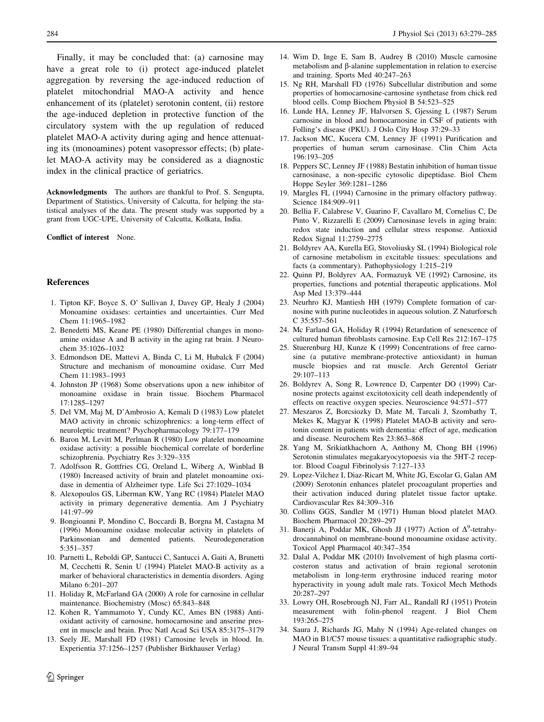<span id="page-5-0"></span>Finally, it may be concluded that: (a) carnosine may have a great role to (i) protect age-induced platelet aggregation by reversing the age-induced reduction of platelet mitochondrial MAO-A activity and hence enhancement of its (platelet) serotonin content, (ii) restore the age-induced depletion in protective function of the circulatory system with the up regulation of reduced platelet MAO-A activity during aging and hence attenuating its (monoamines) potent vasopressor effects; (b) platelet MAO-A activity may be considered as a diagnostic index in the clinical practice of geriatrics.

Acknowledgments The authors are thankful to Prof. S. Sengupta, Department of Statistics, University of Calcutta, for helping the statistical analyses of the data. The present study was supported by a grant from UGC-UPE, University of Calcutta, Kolkata, India.

#### Conflict of interest None.

#### References

- 1. Tipton KF, Boyce S, O' Sullivan J, Davey GP, Healy J (2004) Monoamine oxidases: certainties and uncertainties. Curr Med Chem 11:1965–1982
- 2. Benedetti MS, Keane PE (1980) Differential changes in monoamine oxidase A and B activity in the aging rat brain. J Neurochem 35:1026–1032
- 3. Edmondson DE, Mattevi A, Binda C, Li M, Hubalck F (2004) Structure and mechanism of monoamine oxidase. Curr Med Chem 11:1983–1993
- 4. Johnston JP (1968) Some observations upon a new inhibitor of monoamine oxidase in brain tissue. Biochem Pharmacol 17:1285–1297
- 5. Del VM, Maj M, D'Ambrosio A, Kemali D (1983) Low platelet MAO activity in chronic schizophrenics: a long-term effect of neuroleptic treatment? Psychopharmacology 79:177–179
- 6. Baron M, Levitt M, Perlman R (1980) Low platelet monoamine oxidase activity: a possible biochemical correlate of borderline schizophrenia. Psychiatry Res 3:329–335
- 7. Adolfsson R, Gottfries CG, Oreland L, Wiberg A, Winblad B (1980) Increased activity of brain and platelet monoamine oxidase in dementia of Alzheimer type. Life Sci 27:1029–1034
- 8. Alexopoulos GS, Liberman KW, Yang RC (1984) Platelet MAO activity in primary degenerative dementia. Am J Psychiatry 141:97–99
- 9. Bongioanni P, Mondino C, Boccardi B, Borgna M, Castagna M (1996) Monoamine oxidase molecular activity in platelets of Parkinsonian and demented patients. Neurodegeneration 5:351–357
- 10. Parnetti L, Reboldi GP, Santucci C, Santucci A, Gaiti A, Brunetti M, Cecchetti R, Senin U (1994) Platelet MAO-B activity as a marker of behavioral characteristics in dementia disorders. Aging Milano 6:201–207
- 11. Holiday R, McFarland GA (2000) A role for carnosine in cellular maintenance. Biochemistry (Mosc) 65:843–848
- 12. Kohen R, Yammamoto Y, Cundy KC, Ames BN (1988) Antioxidant activity of carnosine, homocarnosine and anserine present in muscle and brain. Proc Natl Acad Sci USA 85:3175–3179
- 13. Seely JE, Marshall FD (1981) Carnosine levels in blood. In. Experientia 37:1256–1257 (Publisher Birkhauser Verlag)
- 14. Wim D, Inge E, Sam B, Audrey B (2010) Muscle carnosine metabolism and β-alanine supplementation in relation to exercise and training. Sports Med 40:247–263
- 15. Ng RH, Marshall FD (1976) Subcellular distribution and some properties of homocarnosine-carnosine synthetase from chick red blood cells. Comp Biochem Physiol B 54:523–525
- 16. Lunde HA, Lenney JF, Halvorsen S, Gjessing L (1987) Serum carnosine in blood and homocarnosine in CSF of patients with Folling's disease (PKU). J Oslo City Hosp 37:29–33
- 17. Jackson MC, Kucera CM, Lenney JF (1991) Purification and properties of human serum carnosinase. Clin Chim Acta 196:193–205
- 18. Peppers SC, Lenney JF (1988) Bestatin inhibition of human tissue carnosinase, a non-specific cytosolic dipeptidase. Biol Chem Hoppe Seyler 369:1281–1286
- 19. Margles FL (1994) Carnosine in the primary olfactory pathway. Science 184:909–911
- 20. Bellia F, Calabrese V, Guarino F, Cavallaro M, Cornelius C, De Pinto V, Rizzarelli E (2009) Carnosinase levels in aging brain: redox state induction and cellular stress response. Antioxid Redox Signal 11:2759–2775
- 21. Boldyrev AA, Kurella EG, Stovoliusky SL (1994) Biological role of carnosine metabolism in excitable tissues: speculations and facts (a commentary). Pathophysiology 1:215–219
- 22. Quinn PJ, Boldyrev AA, Formazuyk VE (1992) Carnosine, its properties, functions and potential therapeutic applications. Mol Asp Med 13:379–444
- 23. Neurhro KJ, Mantiesh HH (1979) Complete formation of carnosine with purine nucleotides in aqueous solution. Z Naturforsch C 35:557–561
- 24. Mc Farland GA, Holiday R (1994) Retardation of senescence of cultured human fibroblasts carnosine. Exp Cell Res 212:167–175
- 25. Stuerenburg HJ, Kunze K (1999) Concentrations of free carnosine (a putative membrane-protective antioxidant) in human muscle biopsies and rat muscle. Arch Gerentol Geriatr 29:107–113
- 26. Boldyrev A, Song R, Lowrence D, Carpenter DO (1999) Carnosine protects against excitotoxicity cell death independently of effects on reactive oxygen species. Neuroscience 94:571–577
- 27. Meszaros Z, Borcsiozky D, Mate M, Tarcali J, Szombathy T, Mekes K, Magyar K (1998) Platelet MAO-B activity and serotonin content in patients with dementia: effect of age, medication and disease. Neurochem Res 23:863–868
- 28. Yang M, Srikiatkhachorn A, Anthony M, Chong BH (1996) Serotonin stimulates megakaryocytopoesis via the 5HT-2 receptor. Blood Coagul Fibrinolysis 7:127–133
- 29. Lopez-Vilchez I, Diaz-Ricart M, White JG, Escolar G, Galan AM (2009) Serotonin enhances platelet procoagulant properties and their activation induced during platelet tissue factor uptake. Cardiovascular Res 84:309–316
- 30. Collins GGS, Sandler M (1971) Human blood platelet MAO. Biochem Pharmacol 20:289–297
- 31. Banerji A, Poddar MK, Ghosh JJ (1977) Action of  $\Delta^9$ -tetrahydrocannabinol on membrane-bound monoamine oxidase activity. Toxicol Appl Pharmacol 40:347–354
- 32. Dalal A, Poddar MK (2010) Involvement of high plasma corticosteron status and activation of brain regional serotonin metabolism in long-term erythrosine induced rearing motor hyperactivity in young adult male rats. Toxicol Mech Methods 20:287–297
- 33. Lowry OH, Rosebrough NJ, Farr AL, Randall RJ (1951) Protein measurement with folin-phenol reagent. J Biol Chem 193:265–275
- 34. Saura J, Richards JG, Mahy N (1994) Age-related changes on MAO in B1/C57 mouse tissues: a quantitative radiographic study. J Neural Transm Suppl 41:89–94